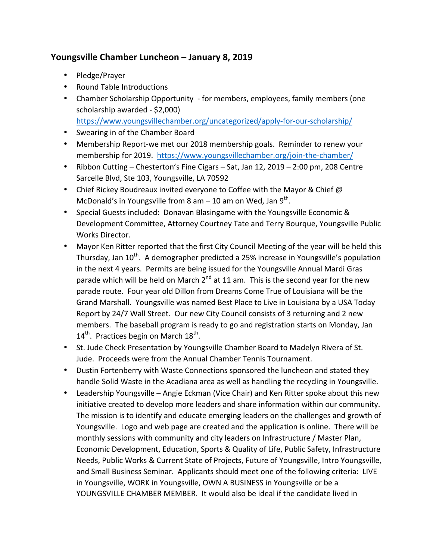## Youngsville Chamber Luncheon – January 8, 2019

- Pledge/Prayer
- Round Table Introductions
- Chamber Scholarship Opportunity for members, employees, family members (one scholarship awarded - \$2,000) https://www.youngsvillechamber.org/uncategorized/apply-for-our-scholarship/
- Swearing in of the Chamber Board
- Membership Report-we met our 2018 membership goals. Reminder to renew your membership for 2019. https://www.youngsvillechamber.org/join-the-chamber/
- Ribbon Cutting Chesterton's Fine Cigars Sat, Jan 12, 2019 2:00 pm, 208 Centre Sarcelle Blvd, Ste 103, Youngsville, LA 70592
- Chief Rickey Boudreaux invited everyone to Coffee with the Mayor & Chief  $\omega$ McDonald's in Youngsville from 8 am – 10 am on Wed, Jan 9<sup>th</sup>.
- Special Guests included: Donavan Blasingame with the Youngsville Economic & Development Committee, Attorney Courtney Tate and Terry Bourque, Youngsville Public Works Director.
- Mayor Ken Ritter reported that the first City Council Meeting of the year will be held this Thursday, Jan  $10^{th}$ . A demographer predicted a 25% increase in Youngsville's population in the next 4 years. Permits are being issued for the Youngsville Annual Mardi Gras parade which will be held on March  $2^{nd}$  at 11 am. This is the second year for the new parade route. Four year old Dillon from Dreams Come True of Louisiana will be the Grand Marshall. Youngsville was named Best Place to Live in Louisiana by a USA Today Report by 24/7 Wall Street. Our new City Council consists of 3 returning and 2 new members. The baseball program is ready to go and registration starts on Monday, Jan  $14<sup>th</sup>$ . Practices begin on March  $18<sup>th</sup>$ .
- St. Jude Check Presentation by Youngsville Chamber Board to Madelyn Rivera of St. Jude. Proceeds were from the Annual Chamber Tennis Tournament.
- Dustin Fortenberry with Waste Connections sponsored the luncheon and stated they handle Solid Waste in the Acadiana area as well as handling the recycling in Youngsville.
- Leadership Youngsville Angie Eckman (Vice Chair) and Ken Ritter spoke about this new initiative created to develop more leaders and share information within our community. The mission is to identify and educate emerging leaders on the challenges and growth of Youngsville. Logo and web page are created and the application is online. There will be monthly sessions with community and city leaders on Infrastructure / Master Plan, Economic Development, Education, Sports & Quality of Life, Public Safety, Infrastructure Needs, Public Works & Current State of Projects, Future of Youngsville, Intro Youngsville, and Small Business Seminar. Applicants should meet one of the following criteria: LIVE in Youngsville, WORK in Youngsville, OWN A BUSINESS in Youngsville or be a YOUNGSVILLE CHAMBER MEMBER. It would also be ideal if the candidate lived in